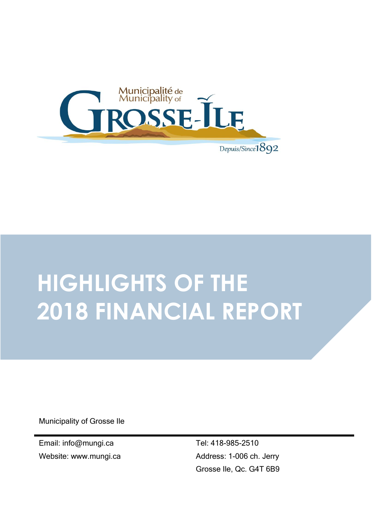

# **HIGHLIGHTS OF THE 2018 FINANCIAL REPORT**

Municipality of Grosse Ile

Email: info@mungi.ca Website: www.mungi.ca Tel: 418-985-2510 Address: 1-006 ch. Jerry Grosse Ile, Qc. G4T 6B9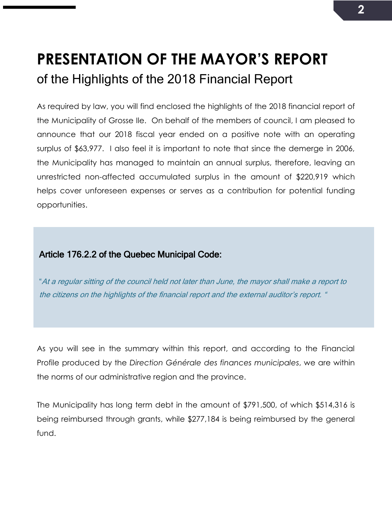## **PRESENTATION OF THE MAYOR'S REPORT** of the Highlights of the 2018 Financial Report

As required by law, you will find enclosed the highlights of the 2018 financial report of the Municipality of Grosse Ile. On behalf of the members of council, I am pleased to announce that our 2018 fiscal year ended on a positive note with an operating surplus of \$63,977. I also feel it is important to note that since the demerge in 2006, the Municipality has managed to maintain an annual surplus, therefore, leaving an unrestricted non-affected accumulated surplus in the amount of \$220,919 which helps cover unforeseen expenses or serves as a contribution for potential funding opportunities.

#### Article 176.2.2 of the Quebec Municipal Code:

"At a regular sitting of the council held not later than June, the mayor shall make a report to the citizens on the highlights of the financial report and the external auditor's report. "

As you will see in the summary within this report, and according to the Financial Profile produced by the *Direction Générale des finances municipales*, we are within the norms of our administrative region and the province.

The Municipality has long term debt in the amount of \$791,500, of which \$514,316 is being reimbursed through grants, while \$277,184 is being reimbursed by the general fund.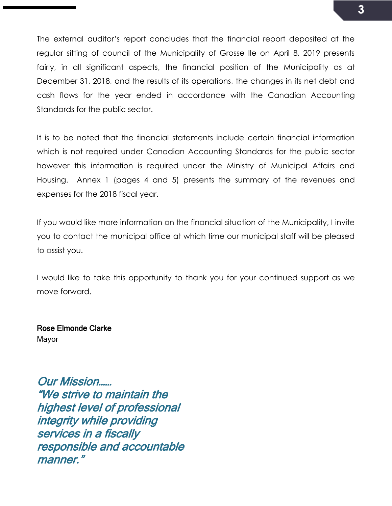The external auditor's report concludes that the financial report deposited at the regular sitting of council of the Municipality of Grosse Ile on April 8, 2019 presents fairly, in all significant aspects, the financial position of the Municipality as at December 31, 2018, and the results of its operations, the changes in its net debt and cash flows for the year ended in accordance with the Canadian Accounting Standards for the public sector.

It is to be noted that the financial statements include certain financial information which is not required under Canadian Accounting Standards for the public sector however this information is required under the Ministry of Municipal Affairs and Housing. Annex 1 (pages 4 and 5) presents the summary of the revenues and expenses for the 2018 fiscal year.

If you would like more information on the financial situation of the Municipality, I invite you to contact the municipal office at which time our municipal staff will be pleased to assist you.

I would like to take this opportunity to thank you for your continued support as we move forward.

Rose Elmonde Clarke Mayor

Our Mission…… "We strive to maintain the highest level of professional integrity while providing services in a fiscally responsible and accountable manner."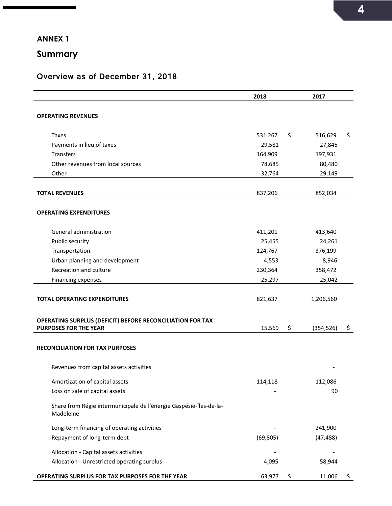#### **ANNEX 1**

**Summary**

#### Overview as of December 31, 2018

|                                                                                 | 2018      | 2017             |    |
|---------------------------------------------------------------------------------|-----------|------------------|----|
| <b>OPERATING REVENUES</b>                                                       |           |                  |    |
|                                                                                 |           |                  |    |
| <b>Taxes</b>                                                                    | 531,267   | \$<br>516,629    | \$ |
| Payments in lieu of taxes                                                       | 29,581    | 27,845           |    |
| Transfers                                                                       | 164,909   | 197,931          |    |
| Other revenues from local sources                                               | 78,685    | 80,480           |    |
| Other                                                                           | 32,764    | 29,149           |    |
|                                                                                 |           |                  |    |
| <b>TOTAL REVENUES</b>                                                           | 837,206   | 852,034          |    |
|                                                                                 |           |                  |    |
| <b>OPERATING EXPENDITURES</b>                                                   |           |                  |    |
| General administration                                                          | 411,201   | 413,640          |    |
| Public security                                                                 | 25,455    | 24,261           |    |
| Transportation                                                                  | 124,767   | 376,199          |    |
| Urban planning and development                                                  | 4,553     | 8,946            |    |
| Recreation and culture                                                          | 230,364   | 358,472          |    |
| Financing expenses                                                              | 25,297    | 25,042           |    |
|                                                                                 |           |                  |    |
| <b>TOTAL OPERATING EXPENDITURES</b>                                             | 821,637   | 1,206,560        |    |
|                                                                                 |           |                  |    |
| OPERATING SURPLUS (DEFICIT) BEFORE RECONCILIATION FOR TAX                       |           |                  |    |
| <b>PURPOSES FOR THE YEAR</b>                                                    | 15,569    | \$<br>(354, 526) | \$ |
|                                                                                 |           |                  |    |
| <b>RECONCILIATION FOR TAX PURPOSES</b>                                          |           |                  |    |
| Revenues from capital assets activities                                         |           |                  |    |
| Amortization of capital assets                                                  | 114,118   | 112,086          |    |
| Loss on sale of capital assets                                                  |           | 90               |    |
| Share from Régie intermunicipale de l'énergie Gaspésie-Îles-de-la-<br>Madeleine |           |                  |    |
| Long-term financing of operating activities                                     |           | 241,900          |    |
| Repayment of long-term debt                                                     | (69, 805) | (47, 488)        |    |
| Allocation - Capital assets activities                                          |           |                  |    |
| Allocation - Unrestricted operating surplus                                     | 4,095     | 58,944           |    |
| OPERATING SURPLUS FOR TAX PURPOSES FOR THE YEAR                                 | 63,977    | \$<br>11,006     | \$ |